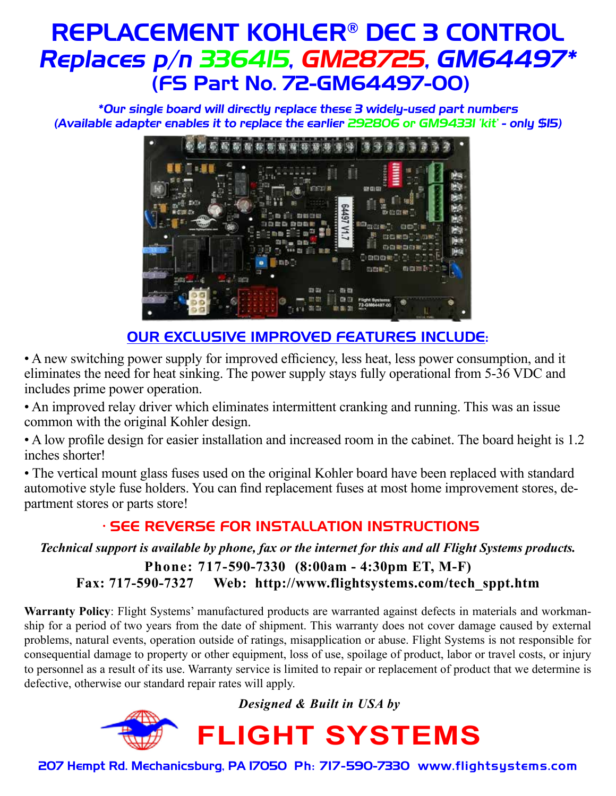## REPLACEMENT KOHLER® DEC 3 CONTROL Replaces p/n 336415, GM28725, GM64497\* (FS Part No. 72-GM64497-00)

\*Our single board will directly replace these 3 widely-used part numbers (Available adapter enables it to replace the earlier 292806 or GM94331 'kit' - only \$15)



## OUR EXCLUSIVE IMPROVED FEATURES INCLUDE:

• A new switching power supply for improved efficiency, less heat, less power consumption, and it eliminates the need for heat sinking. The power supply stays fully operational from 5-36 VDC and includes prime power operation.

• An improved relay driver which eliminates intermittent cranking and running. This was an issue common with the original Kohler design.

• A low profile design for easier installation and increased room in the cabinet. The board height is 1.2 inches shorter!

• The vertical mount glass fuses used on the original Kohler board have been replaced with standard automotive style fuse holders. You can find replacement fuses at most home improvement stores, department stores or parts store!

### • SEE REVERSE FOR INSTALLATION INSTRUCTIONS

### *Technical support is available by phone, fax or the internet for this and all Flight Systems products.*

**Phone: 717-590-7330 (8:00am - 4:30pm ET, M-F) Fax: 717-590-7327 Web: http://www.flightsystems.com/tech\_sppt.htm**

**Warranty Policy**: Flight Systems' manufactured products are warranted against defects in materials and workmanship for a period of two years from the date of shipment. This warranty does not cover damage caused by external problems, natural events, operation outside of ratings, misapplication or abuse. Flight Systems is not responsible for consequential damage to property or other equipment, loss of use, spoilage of product, labor or travel costs, or injury to personnel as a result of its use. Warranty service is limited to repair or replacement of product that we determine is defective, otherwise our standard repair rates will apply.

*Designed & Built in USA by*



207 Hempt Rd. Mechanicsburg, PA 17050 Ph: 717-590-7330 www.flightsystems.com